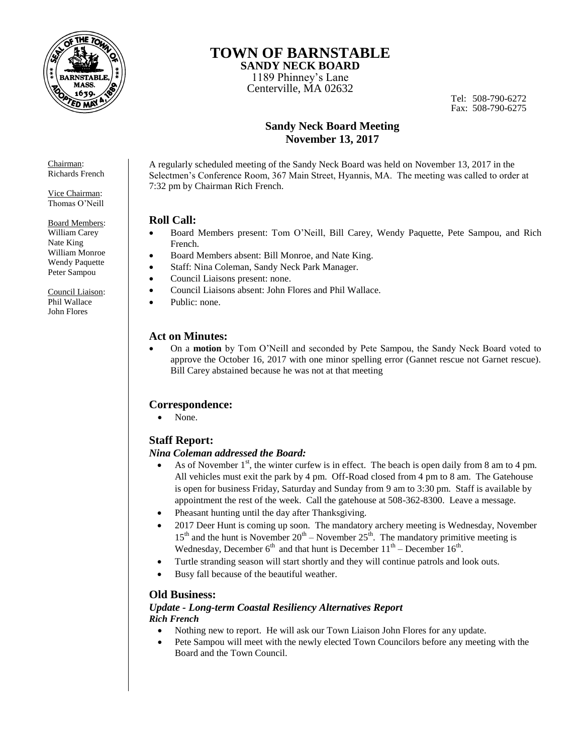

# **TOWN OF BARNSTABLE**

**SANDY NECK BOARD**  1189 Phinney's Lane Centerville, MA 02632

Tel: 508-790-6272 Fax: 508-790-6275

### **Sandy Neck Board Meeting November 13, 2017**

A regularly scheduled meeting of the Sandy Neck Board was held on November 13, 2017 in the Selectmen's Conference Room, 367 Main Street, Hyannis, MA. The meeting was called to order at 7:32 pm by Chairman Rich French.

#### **Roll Call:**

- Board Members present: Tom O'Neill, Bill Carey, Wendy Paquette, Pete Sampou, and Rich French.
- Board Members absent: Bill Monroe, and Nate King.
- Staff: Nina Coleman, Sandy Neck Park Manager.
- Council Liaisons present: none.
- Council Liaisons absent: John Flores and Phil Wallace.
- Public: none.

#### **Act on Minutes:**

 On a **motion** by Tom O'Neill and seconded by Pete Sampou, the Sandy Neck Board voted to approve the October 16, 2017 with one minor spelling error (Gannet rescue not Garnet rescue). Bill Carey abstained because he was not at that meeting

### **Correspondence:**

• None.

### **Staff Report:**

#### *Nina Coleman addressed the Board:*

- As of November  $1<sup>st</sup>$ , the winter curfew is in effect. The beach is open daily from 8 am to 4 pm. All vehicles must exit the park by 4 pm. Off-Road closed from 4 pm to 8 am. The Gatehouse is open for business Friday, Saturday and Sunday from 9 am to 3:30 pm. Staff is available by appointment the rest of the week. Call the gatehouse at 508-362-8300. Leave a message.
- Pheasant hunting until the day after Thanksgiving.
- 2017 Deer Hunt is coming up soon. The mandatory archery meeting is Wednesday, November  $15<sup>th</sup>$  and the hunt is November  $20<sup>th</sup>$  – November  $25<sup>th</sup>$ . The mandatory primitive meeting is Wednesday, December  $6<sup>th</sup>$  and that hunt is December  $11<sup>th</sup>$  – December  $16<sup>th</sup>$ .
- Turtle stranding season will start shortly and they will continue patrols and look outs.
- Busy fall because of the beautiful weather.

### **Old Business:**

#### *Update - Long-term Coastal Resiliency Alternatives Report Rich French*

- Nothing new to report. He will ask our Town Liaison John Flores for any update.
- Pete Sampou will meet with the newly elected Town Councilors before any meeting with the Board and the Town Council.

Chairman: Richards French

Vice Chairman: Thomas O'Neill

Board Members: William Carey Nate King William Monroe Wendy Paquette Peter Sampou

Council Liaison: Phil Wallace John Flores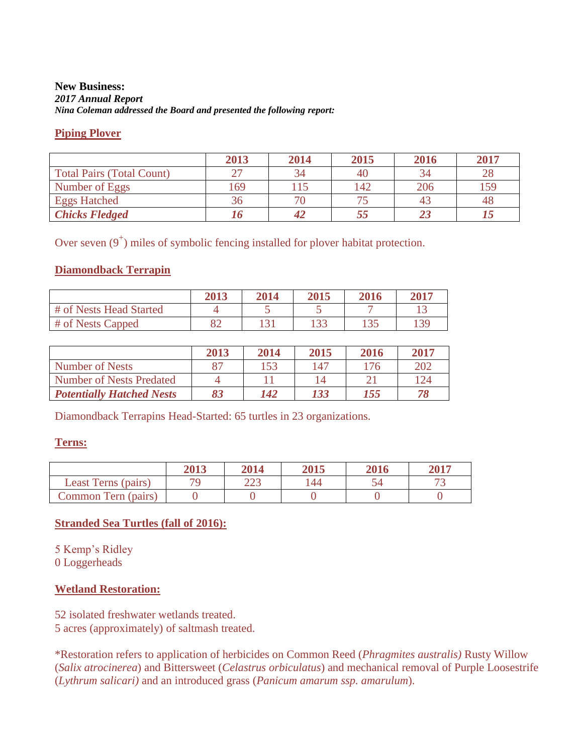### **New Business:**  *2017 Annual Report Nina Coleman addressed the Board and presented the following report:*

### **Piping Plover**

|                                  | 2013 | 2014 | 2015 | 2016 | 2017 |
|----------------------------------|------|------|------|------|------|
| <b>Total Pairs (Total Count)</b> |      |      | 40   | 34   | 28   |
| Number of Eggs                   | 169  | 15   | 142  | 206  | 159  |
| <b>Eggs Hatched</b>              |      |      |      |      |      |
| <b>Chicks Fledged</b>            |      | 42   |      |      |      |

Over seven  $(9^+)$  miles of symbolic fencing installed for plover habitat protection.

### **Diamondback Terrapin**

|                         | <b>2013</b> | 2014  | 2015  | 2016 | 2017 |
|-------------------------|-------------|-------|-------|------|------|
| # of Nests Head Started |             |       |       |      |      |
| $#$ of Nests Capped     |             | 1 つ 1 | 1 2 2 | 124  | 139  |

|                                  | 2013 | 2014 | 2015 | 2016 | 2017 |
|----------------------------------|------|------|------|------|------|
| Number of Nests                  |      | 153  | 147  | 176  | 202  |
| <b>Number of Nests Predated</b>  |      |      |      |      | 124  |
| <b>Potentially Hatched Nests</b> |      | 142  | 133  | 155  |      |

Diamondback Terrapins Head-Started: 65 turtles in 23 organizations.

### **Terns:**

|                     | 2013 | 2014          | 2015 | 2016 | 2017 |
|---------------------|------|---------------|------|------|------|
| Least Terns (pairs) |      | າາາ<br>ل کا ک | 144  |      |      |
| Common Tern (pairs) |      |               |      |      |      |

# **Stranded Sea Turtles (fall of 2016):**

5 Kemp's Ridley

0 Loggerheads

# **Wetland Restoration:**

52 isolated freshwater wetlands treated. 5 acres (approximately) of saltmash treated.

\*Restoration refers to application of herbicides on Common Reed (*Phragmites australis)* Rusty Willow (*Salix atrocinerea*) and Bittersweet (*Celastrus orbiculatus*) and mechanical removal of Purple Loosestrife (*Lythrum salicari)* and an introduced grass (*Panicum amarum ssp. amarulum*).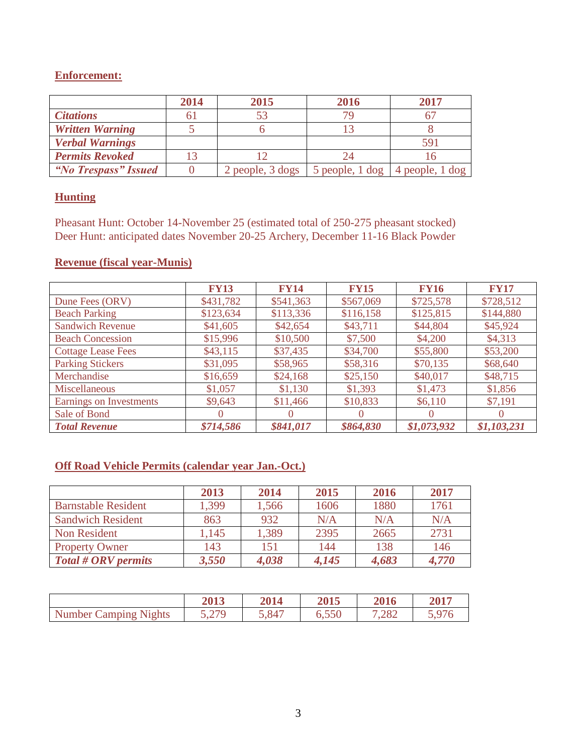# **Enforcement:**

|                        | 2014 | 2015                             | 2016                                                  | 2017 |
|------------------------|------|----------------------------------|-------------------------------------------------------|------|
| <b>Citations</b>       |      |                                  |                                                       |      |
| <b>Written Warning</b> |      |                                  |                                                       |      |
| <b>Verbal Warnings</b> |      |                                  |                                                       | 591  |
| <b>Permits Revoked</b> |      |                                  |                                                       |      |
| "No Trespass" Issued   |      | $2$ people, $3$ dogs $\parallel$ | 5 people, $1 \text{ dog}$   4 people, $1 \text{ dog}$ |      |

### **Hunting**

Pheasant Hunt: October 14-November 25 (estimated total of 250-275 pheasant stocked) Deer Hunt: anticipated dates November 20-25 Archery, December 11-16 Black Powder

# **Revenue (fiscal year-Munis)**

|                           | <b>FY13</b> | <b>FY14</b> | <b>FY15</b> | <b>FY16</b> | <b>FY17</b> |
|---------------------------|-------------|-------------|-------------|-------------|-------------|
| Dune Fees (ORV)           | \$431,782   | \$541,363   | \$567,069   | \$725,578   | \$728,512   |
| <b>Beach Parking</b>      | \$123,634   | \$113,336   | \$116,158   | \$125,815   | \$144,880   |
| <b>Sandwich Revenue</b>   | \$41,605    | \$42,654    | \$43,711    | \$44,804    | \$45,924    |
| <b>Beach Concession</b>   | \$15,996    | \$10,500    | \$7,500     | \$4,200     | \$4,313     |
| <b>Cottage Lease Fees</b> | \$43,115    | \$37,435    | \$34,700    | \$55,800    | \$53,200    |
| <b>Parking Stickers</b>   | \$31,095    | \$58,965    | \$58,316    | \$70,135    | \$68,640    |
| Merchandise               | \$16,659    | \$24,168    | \$25,150    | \$40,017    | \$48,715    |
| Miscellaneous             | \$1,057     | \$1,130     | \$1,393     | \$1,473     | \$1,856     |
| Earnings on Investments   | \$9,643     | \$11,466    | \$10,833    | \$6,110     | \$7,191     |
| Sale of Bond              | 0           |             |             |             |             |
| <b>Total Revenue</b>      | \$714,586   | \$841,017   | \$864,830   | \$1,073,932 | \$1,103,231 |

# **Off Road Vehicle Permits (calendar year Jan.-Oct.)**

|                            | 2013  | 2014  | 2015  | 2016  | 2017  |
|----------------------------|-------|-------|-------|-------|-------|
| <b>Barnstable Resident</b> | 1,399 | 1,566 | 1606  | 1880  | 1761  |
| <b>Sandwich Resident</b>   | 863   | 932   | N/A   | N/A   | N/A   |
| Non Resident               | 1,145 | 1,389 | 2395  | 2665  | 2731  |
| <b>Property Owner</b>      | 143   | 151   | 144   | 138   | 146   |
| Total # ORV permits        | 3,550 | 4,038 | 4,145 | 4,683 | 4,770 |

|                       | 2013  | 2014  | 2015  | 2016  | 2017  |
|-----------------------|-------|-------|-------|-------|-------|
| Number Camping Nights | 5,279 | 5,847 | 6.550 | 7,282 | 5,976 |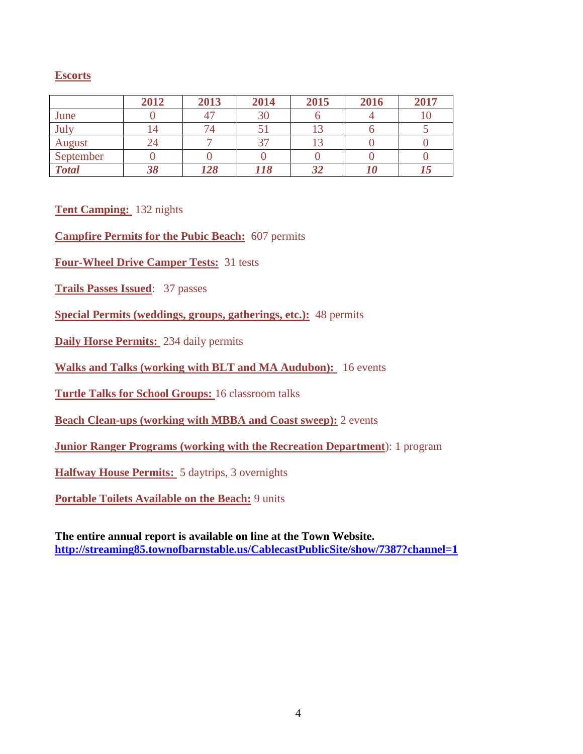# **Escorts**

|              | 2012 | 2013 | 2014 | 2015 | 2016 | 2017 |
|--------------|------|------|------|------|------|------|
| June         |      |      | 30   |      |      |      |
| July         |      |      |      |      |      |      |
| August       |      |      |      |      |      |      |
| September    |      |      |      |      |      |      |
| <b>Total</b> |      | 128  | 118  |      |      |      |

**Tent Camping:** 132 nights

**Campfire Permits for the Pubic Beach:** 607 permits

**Four-Wheel Drive Camper Tests:** 31 tests

**Trails Passes Issued**: 37 passes

**Special Permits (weddings, groups, gatherings, etc.):** 48 permits

**Daily Horse Permits:** 234 daily permits

**Walks and Talks (working with BLT and MA Audubon):** 16 events

**Turtle Talks for School Groups:** 16 classroom talks

**Beach Clean-ups (working with MBBA and Coast sweep):** 2 events

**Junior Ranger Programs (working with the Recreation Department**): 1 program

**Halfway House Permits:** 5 daytrips, 3 overnights

**Portable Toilets Available on the Beach:** 9 units

**The entire annual report is available on line at the Town Website. <http://streaming85.townofbarnstable.us/CablecastPublicSite/show/7387?channel=1>**